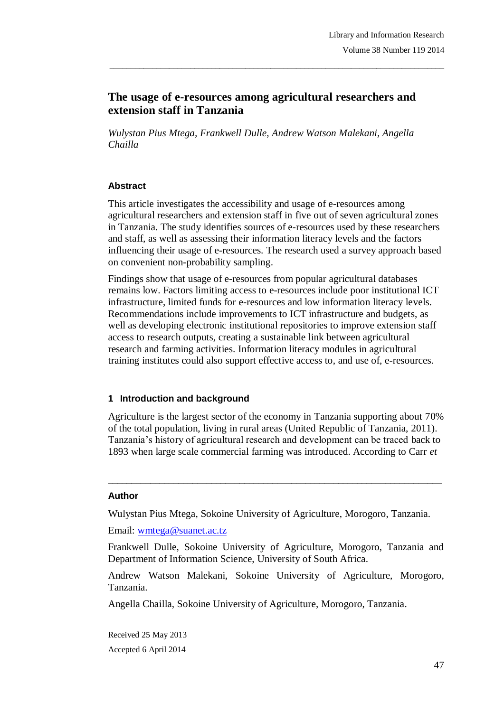# **The usage of e-resources among agricultural researchers and extension staff in Tanzania**

\_\_\_\_\_\_\_\_\_\_\_\_\_\_\_\_\_\_\_\_\_\_\_\_\_\_\_\_\_\_\_\_\_\_\_\_\_\_\_\_\_\_\_\_\_\_\_\_\_\_\_\_\_\_\_\_\_\_\_\_\_\_\_\_\_\_\_\_\_\_\_\_\_\_\_\_\_\_\_

*Wulystan Pius Mtega, Frankwell Dulle, Andrew Watson Malekani, Angella Chailla*

### **Abstract**

This article investigates the accessibility and usage of e-resources among agricultural researchers and extension staff in five out of seven agricultural zones in Tanzania. The study identifies sources of e-resources used by these researchers and staff, as well as assessing their information literacy levels and the factors influencing their usage of e-resources. The research used a survey approach based on convenient non-probability sampling.

Findings show that usage of e-resources from popular agricultural databases remains low. Factors limiting access to e-resources include poor institutional ICT infrastructure, limited funds for e-resources and low information literacy levels. Recommendations include improvements to ICT infrastructure and budgets, as well as developing electronic institutional repositories to improve extension staff access to research outputs, creating a sustainable link between agricultural research and farming activities. Information literacy modules in agricultural training institutes could also support effective access to, and use of, e-resources.

#### **1 Introduction and background**

Agriculture is the largest sector of the economy in Tanzania supporting about 70% of the total population, living in rural areas (United Republic of Tanzania, 2011). Tanzania's history of agricultural research and development can be traced back to 1893 when large scale commercial farming was introduced. According to Carr *et* 

 $\_$  ,  $\_$  ,  $\_$  ,  $\_$  ,  $\_$  ,  $\_$  ,  $\_$  ,  $\_$  ,  $\_$  ,  $\_$  ,  $\_$  ,  $\_$  ,  $\_$  ,  $\_$  ,  $\_$  ,  $\_$  ,  $\_$  ,  $\_$  ,  $\_$ 

#### **Author**

Wulystan Pius Mtega, Sokoine University of Agriculture, Morogoro, Tanzania.

Email: wmtega@suanet.ac.tz

Frankwell Dulle, Sokoine University of Agriculture, Morogoro, Tanzania and Department of Information Science, University of South Africa.

Andrew Watson Malekani, Sokoine University of Agriculture, Morogoro, Tanzania.

Angella Chailla, Sokoine University of Agriculture, Morogoro, Tanzania.

Received 25 May 2013 Accepted 6 April 2014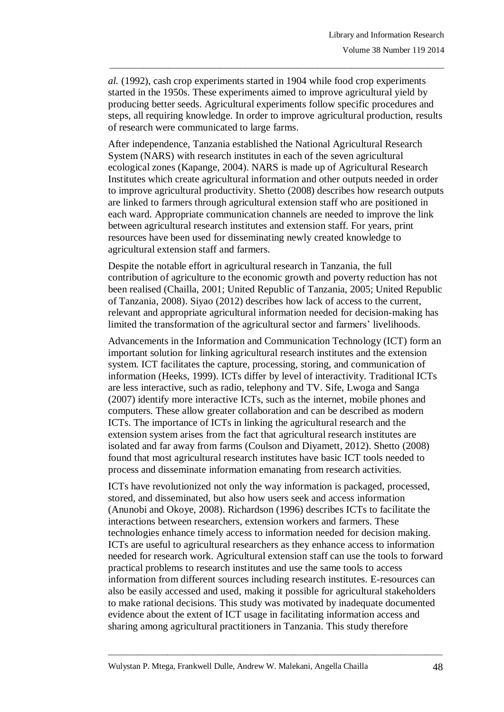*al.* (1992), cash crop experiments started in 1904 while food crop experiments started in the 1950s. These experiments aimed to improve agricultural yield by producing better seeds. Agricultural experiments follow specific procedures and steps, all requiring knowledge. In order to improve agricultural production, results of research were communicated to large farms.

 $\_$  , and the set of the set of the set of the set of the set of the set of the set of the set of the set of the set of the set of the set of the set of the set of the set of the set of the set of the set of the set of th

After independence, Tanzania established the National Agricultural Research System (NARS) with research institutes in each of the seven agricultural ecological zones (Kapange, 2004). NARS is made up of Agricultural Research Institutes which create agricultural information and other outputs needed in order to improve agricultural productivity. Shetto (2008) describes how research outputs are linked to farmers through agricultural extension staff who are positioned in each ward. Appropriate communication channels are needed to improve the link between agricultural research institutes and extension staff. For years, print resources have been used for disseminating newly created knowledge to agricultural extension staff and farmers.

Despite the notable effort in agricultural research in Tanzania, the full contribution of agriculture to the economic growth and poverty reduction has not been realised (Chailla, 2001; United Republic of Tanzania, 2005; United Republic of Tanzania, 2008). Siyao (2012) describes how lack of access to the current, relevant and appropriate agricultural information needed for decision-making has limited the transformation of the agricultural sector and farmers' livelihoods.

Advancements in the Information and Communication Technology (ICT) form an important solution for linking agricultural research institutes and the extension system. ICT facilitates the capture, processing, storing, and communication of information (Heeks, 1999). ICTs differ by level of interactivity. Traditional ICTs are less interactive, such as radio, telephony and TV. Sife, Lwoga and Sanga (2007) identify more interactive ICTs, such as the internet, mobile phones and computers. These allow greater collaboration and can be described as modern ICTs. The importance of ICTs in linking the agricultural research and the extension system arises from the fact that agricultural research institutes are isolated and far away from farms (Coulson and Diyamett, 2012). Shetto (2008) found that most agricultural research institutes have basic ICT tools needed to process and disseminate information emanating from research activities.

ICTs have revolutionized not only the way information is packaged, processed, stored, and disseminated, but also how users seek and access information (Anunobi and Okoye, 2008). Richardson (1996) describes ICTs to facilitate the interactions between researchers, extension workers and farmers. These technologies enhance timely access to information needed for decision making. ICTs are useful to agricultural researchers as they enhance access to information needed for research work. Agricultural extension staff can use the tools to forward practical problems to research institutes and use the same tools to access information from different sources including research institutes. E-resources can also be easily accessed and used, making it possible for agricultural stakeholders to make rational decisions. This study was motivated by inadequate documented evidence about the extent of ICT usage in facilitating information access and sharing among agricultural practitioners in Tanzania. This study therefore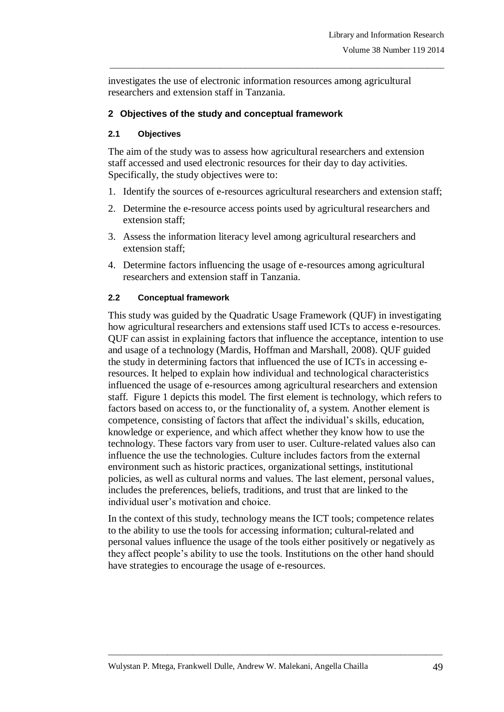investigates the use of electronic information resources among agricultural researchers and extension staff in Tanzania.

 $\_$  , and the set of the set of the set of the set of the set of the set of the set of the set of the set of the set of the set of the set of the set of the set of the set of the set of the set of the set of the set of th

### **2 Objectives of the study and conceptual framework**

#### **2.1 Objectives**

The aim of the study was to assess how agricultural researchers and extension staff accessed and used electronic resources for their day to day activities. Specifically, the study objectives were to:

- 1. Identify the sources of e-resources agricultural researchers and extension staff;
- 2. Determine the e-resource access points used by agricultural researchers and extension staff;
- 3. Assess the information literacy level among agricultural researchers and extension staff;
- 4. Determine factors influencing the usage of e-resources among agricultural researchers and extension staff in Tanzania.

#### **2.2 Conceptual framework**

This study was guided by the Quadratic Usage Framework (QUF) in investigating how agricultural researchers and extensions staff used ICTs to access e-resources. QUF can assist in explaining factors that influence the acceptance, intention to use and usage of a technology (Mardis, Hoffman and Marshall, 2008). QUF guided the study in determining factors that influenced the use of ICTs in accessing eresources. It helped to explain how individual and technological characteristics influenced the usage of e-resources among agricultural researchers and extension staff. Figure 1 depicts this model. The first element is technology, which refers to factors based on access to, or the functionality of, a system. Another element is competence, consisting of factors that affect the individual's skills, education, knowledge or experience, and which affect whether they know how to use the technology. These factors vary from user to user. Culture-related values also can influence the use the technologies. Culture includes factors from the external environment such as historic practices, organizational settings, institutional policies, as well as cultural norms and values. The last element, personal values, includes the preferences, beliefs, traditions, and trust that are linked to the individual user's motivation and choice.

In the context of this study, technology means the ICT tools; competence relates to the ability to use the tools for accessing information; cultural-related and personal values influence the usage of the tools either positively or negatively as they affect people's ability to use the tools. Institutions on the other hand should have strategies to encourage the usage of e-resources.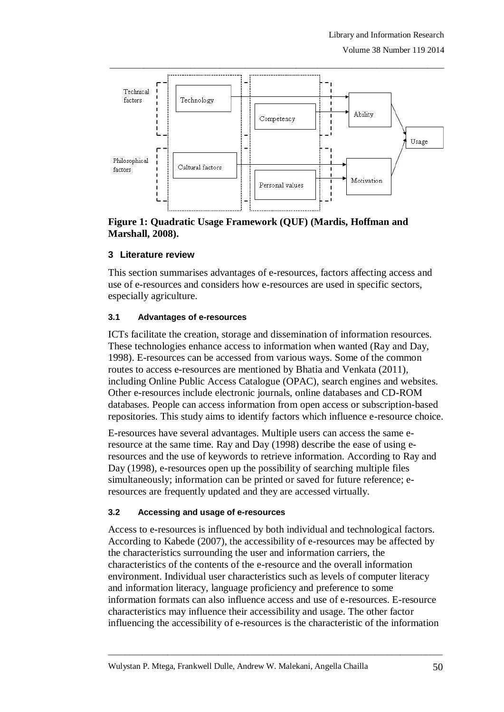

 $\_$  , and the set of the set of the set of the set of the set of the set of the set of the set of the set of the set of the set of the set of the set of the set of the set of the set of the set of the set of the set of th

**Figure 1: Quadratic Usage Framework (QUF) (Mardis, Hoffman and Marshall, 2008).**

# **3 Literature review**

This section summarises advantages of e-resources, factors affecting access and use of e-resources and considers how e-resources are used in specific sectors, especially agriculture.

# **3.1 Advantages of e-resources**

ICTs facilitate the creation, storage and dissemination of information resources. These technologies enhance access to information when wanted (Ray and Day, 1998). E-resources can be accessed from various ways. Some of the common routes to access e-resources are mentioned by Bhatia and Venkata (2011), including Online Public Access Catalogue (OPAC), search engines and websites. Other e-resources include electronic journals, online databases and CD-ROM databases. People can access information from open access or subscription-based repositories. This study aims to identify factors which influence e-resource choice.

E-resources have several advantages. Multiple users can access the same eresource at the same time. Ray and Day (1998) describe the ease of using eresources and the use of keywords to retrieve information. According to Ray and Day (1998), e-resources open up the possibility of searching multiple files simultaneously; information can be printed or saved for future reference; eresources are frequently updated and they are accessed virtually.

# **3.2 Accessing and usage of e-resources**

Access to e-resources is influenced by both individual and technological factors. According to Kabede (2007), the accessibility of e-resources may be affected by the characteristics surrounding the user and information carriers, the characteristics of the contents of the e-resource and the overall information environment. Individual user characteristics such as levels of computer literacy and information literacy, language proficiency and preference to some information formats can also influence access and use of e-resources. E-resource characteristics may influence their accessibility and usage. The other factor influencing the accessibility of e-resources is the characteristic of the information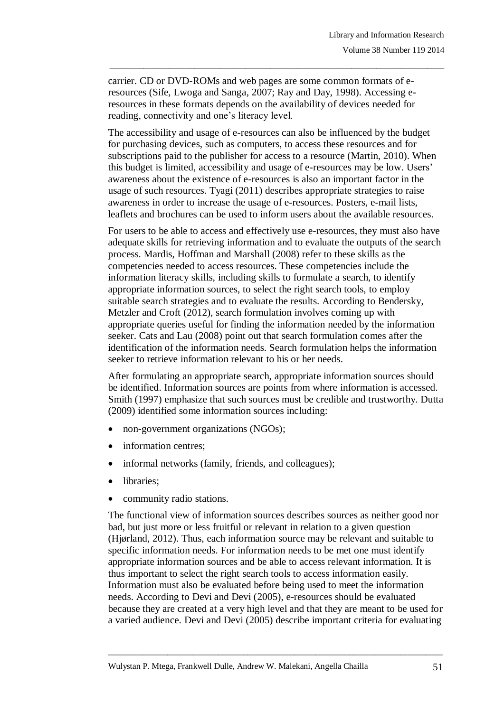carrier. CD or DVD-ROMs and web pages are some common formats of eresources (Sife, Lwoga and Sanga, 2007; Ray and Day, 1998). Accessing eresources in these formats depends on the availability of devices needed for reading, connectivity and one's literacy level.

 $\_$  , and the set of the set of the set of the set of the set of the set of the set of the set of the set of the set of the set of the set of the set of the set of the set of the set of the set of the set of the set of th

The accessibility and usage of e-resources can also be influenced by the budget for purchasing devices, such as computers, to access these resources and for subscriptions paid to the publisher for access to a resource (Martin, 2010). When this budget is limited, accessibility and usage of e-resources may be low. Users' awareness about the existence of e-resources is also an important factor in the usage of such resources. Tyagi (2011) describes appropriate strategies to raise awareness in order to increase the usage of e-resources. Posters, e-mail lists, leaflets and brochures can be used to inform users about the available resources.

For users to be able to access and effectively use e-resources, they must also have adequate skills for retrieving information and to evaluate the outputs of the search process. Mardis, Hoffman and Marshall (2008) refer to these skills as the competencies needed to access resources. These competencies include the information literacy skills, including skills to formulate a search, to identify appropriate information sources, to select the right search tools, to employ suitable search strategies and to evaluate the results. According to Bendersky, Metzler and Croft (2012), search formulation involves coming up with appropriate queries useful for finding the information needed by the information seeker. Cats and Lau (2008) point out that search formulation comes after the identification of the information needs. Search formulation helps the information seeker to retrieve information relevant to his or her needs.

After formulating an appropriate search, appropriate information sources should be identified. Information sources are points from where information is accessed. Smith (1997) emphasize that such sources must be credible and trustworthy. Dutta (2009) identified some information sources including:

- non-government organizations (NGOs);
- information centres;
- informal networks (family, friends, and colleagues);
- libraries;
- community radio stations.

The functional view of information sources describes sources as neither good nor bad, but just more or less fruitful or relevant in relation to a given question (Hjørland, 2012). Thus, each information source may be relevant and suitable to specific information needs. For information needs to be met one must identify appropriate information sources and be able to access relevant information. It is thus important to select the right search tools to access information easily. Information must also be evaluated before being used to meet the information needs. According to Devi and Devi (2005), e-resources should be evaluated because they are created at a very high level and that they are meant to be used for a varied audience. Devi and Devi (2005) describe important criteria for evaluating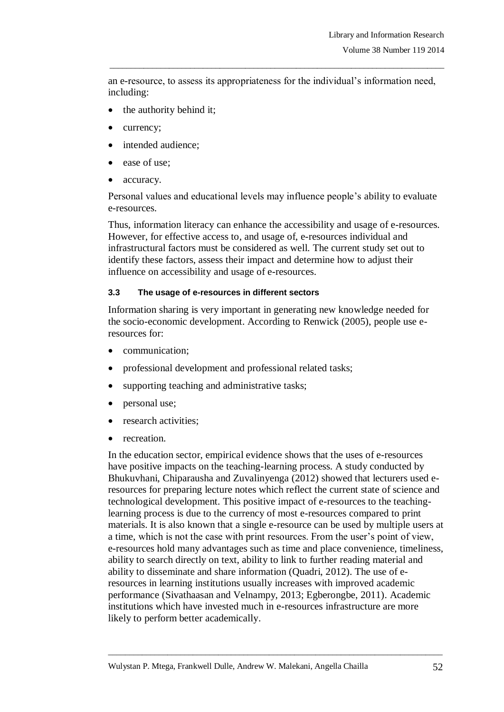an e-resource, to assess its appropriateness for the individual's information need, including:

 $\_$  , and the set of the set of the set of the set of the set of the set of the set of the set of the set of the set of the set of the set of the set of the set of the set of the set of the set of the set of the set of th

- the authority behind it;
- currency;
- intended audience;
- ease of use;
- accuracy.

Personal values and educational levels may influence people's ability to evaluate e-resources.

Thus, information literacy can enhance the accessibility and usage of e-resources. However, for effective access to, and usage of, e-resources individual and infrastructural factors must be considered as well. The current study set out to identify these factors, assess their impact and determine how to adjust their influence on accessibility and usage of e-resources.

### **3.3 The usage of e-resources in different sectors**

Information sharing is very important in generating new knowledge needed for the socio-economic development. According to Renwick (2005), people use eresources for:

- communication;
- professional development and professional related tasks;
- supporting teaching and administrative tasks;
- personal use;
- research activities;
- recreation.

In the education sector, empirical evidence shows that the uses of e-resources have positive impacts on the teaching-learning process. A study conducted by Bhukuvhani, Chiparausha and Zuvalinyenga (2012) showed that lecturers used eresources for preparing lecture notes which reflect the current state of science and technological development. This positive impact of e-resources to the teachinglearning process is due to the currency of most e-resources compared to print materials. It is also known that a single e-resource can be used by multiple users at a time, which is not the case with print resources. From the user's point of view, e-resources hold many advantages such as time and place convenience, timeliness, ability to search directly on text, ability to link to further reading material and ability to disseminate and share information (Quadri, 2012). The use of eresources in learning institutions usually increases with improved academic performance (Sivathaasan and Velnampy, 2013; Egberongbe, 2011). Academic institutions which have invested much in e-resources infrastructure are more likely to perform better academically.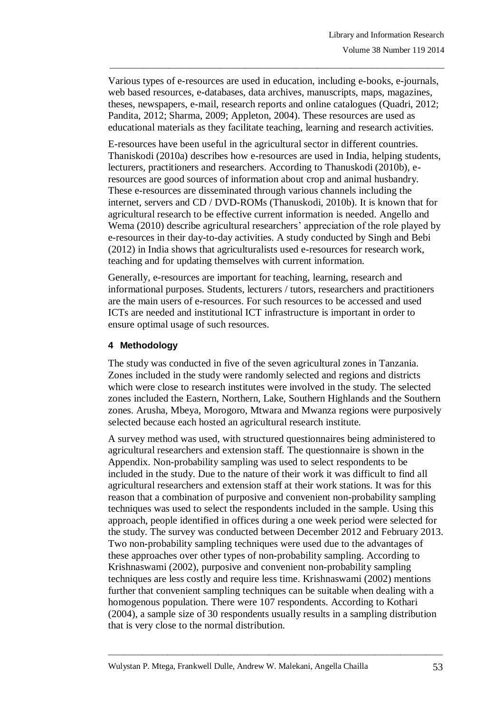Various types of e-resources are used in education, including e-books, e-journals, web based resources, e-databases, data archives, manuscripts, maps, magazines, theses, newspapers, e-mail, research reports and online catalogues (Quadri, 2012; Pandita, 2012; Sharma, 2009; Appleton, 2004). These resources are used as educational materials as they facilitate teaching, learning and research activities.

 $\_$  , and the set of the set of the set of the set of the set of the set of the set of the set of the set of the set of the set of the set of the set of the set of the set of the set of the set of the set of the set of th

E-resources have been useful in the agricultural sector in different countries. Thaniskodi (2010a) describes how e-resources are used in India, helping students, lecturers, practitioners and researchers. According to Thanuskodi (2010b), eresources are good sources of information about crop and animal husbandry. These e-resources are disseminated through various channels including the internet, servers and CD / DVD-ROMs (Thanuskodi, 2010b). It is known that for agricultural research to be effective current information is needed. Angello and Wema (2010) describe agricultural researchers' appreciation of the role played by e-resources in their day-to-day activities. A study conducted by Singh and Bebi (2012) in India shows that agriculturalists used e-resources for research work, teaching and for updating themselves with current information.

Generally, e-resources are important for teaching, learning, research and informational purposes. Students, lecturers / tutors, researchers and practitioners are the main users of e-resources. For such resources to be accessed and used ICTs are needed and institutional ICT infrastructure is important in order to ensure optimal usage of such resources.

# **4 Methodology**

The study was conducted in five of the seven agricultural zones in Tanzania. Zones included in the study were randomly selected and regions and districts which were close to research institutes were involved in the study. The selected zones included the Eastern, Northern, Lake, Southern Highlands and the Southern zones. Arusha, Mbeya, Morogoro, Mtwara and Mwanza regions were purposively selected because each hosted an agricultural research institute.

A survey method was used, with structured questionnaires being administered to agricultural researchers and extension staff. The questionnaire is shown in the Appendix. Non-probability sampling was used to select respondents to be included in the study. Due to the nature of their work it was difficult to find all agricultural researchers and extension staff at their work stations. It was for this reason that a combination of purposive and convenient non-probability sampling techniques was used to select the respondents included in the sample. Using this approach, people identified in offices during a one week period were selected for the study. The survey was conducted between December 2012 and February 2013. Two non-probability sampling techniques were used due to the advantages of these approaches over other types of non-probability sampling. According to Krishnaswami (2002), purposive and convenient non-probability sampling techniques are less costly and require less time. Krishnaswami (2002) mentions further that convenient sampling techniques can be suitable when dealing with a homogenous population. There were 107 respondents. According to Kothari (2004), a sample size of 30 respondents usually results in a sampling distribution that is very close to the normal distribution.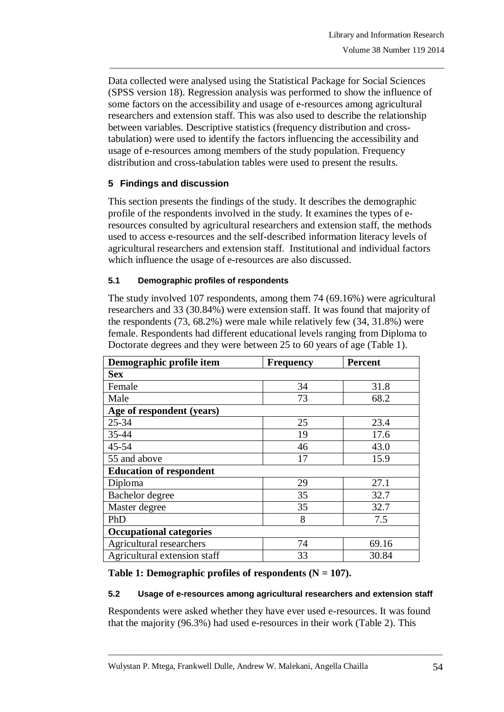Data collected were analysed using the Statistical Package for Social Sciences (SPSS version 18). Regression analysis was performed to show the influence of some factors on the accessibility and usage of e-resources among agricultural researchers and extension staff. This was also used to describe the relationship between variables. Descriptive statistics (frequency distribution and crosstabulation) were used to identify the factors influencing the accessibility and usage of e-resources among members of the study population. Frequency distribution and cross-tabulation tables were used to present the results.

 $\_$  , and the set of the set of the set of the set of the set of the set of the set of the set of the set of the set of the set of the set of the set of the set of the set of the set of the set of the set of the set of th

# **5 Findings and discussion**

This section presents the findings of the study. It describes the demographic profile of the respondents involved in the study. It examines the types of eresources consulted by agricultural researchers and extension staff, the methods used to access e-resources and the self-described information literacy levels of agricultural researchers and extension staff. Institutional and individual factors which influence the usage of e-resources are also discussed.

### **5.1 Demographic profiles of respondents**

The study involved 107 respondents, among them 74 (69.16%) were agricultural researchers and 33 (30.84%) were extension staff. It was found that majority of the respondents (73, 68.2%) were male while relatively few (34, 31.8%) were female. Respondents had different educational levels ranging from Diploma to Doctorate degrees and they were between 25 to 60 years of age (Table 1).

| Demographic profile item       | <b>Frequency</b> | <b>Percent</b> |  |
|--------------------------------|------------------|----------------|--|
| <b>Sex</b>                     |                  |                |  |
| Female                         | 34               | 31.8           |  |
| Male                           | 73               | 68.2           |  |
| Age of respondent (years)      |                  |                |  |
| 25-34                          | 25               | 23.4           |  |
| 35-44                          | 19               | 17.6           |  |
| 45-54                          | 46               | 43.0           |  |
| 55 and above                   | 17               | 15.9           |  |
| <b>Education of respondent</b> |                  |                |  |
| Diploma                        | 29               | 27.1           |  |
| Bachelor degree                | 35               | 32.7           |  |
| Master degree                  | 35               | 32.7           |  |
| PhD                            | 8                | 7.5            |  |
| <b>Occupational categories</b> |                  |                |  |
| Agricultural researchers       | 74               | 69.16          |  |
| Agricultural extension staff   | 33               | 30.84          |  |

# **Table 1: Demographic profiles of respondents (N = 107).**

#### **5.2 Usage of e-resources among agricultural researchers and extension staff**

Respondents were asked whether they have ever used e-resources. It was found that the majority (96.3%) had used e-resources in their work (Table 2). This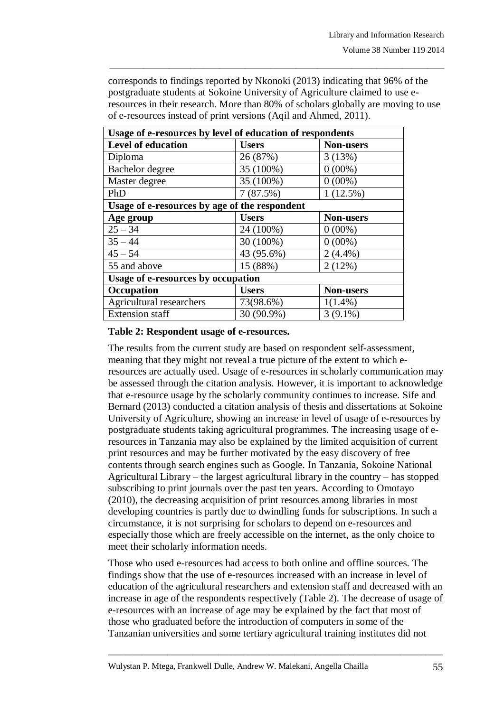corresponds to findings reported by Nkonoki (2013) indicating that 96% of the postgraduate students at Sokoine University of Agriculture claimed to use eresources in their research. More than 80% of scholars globally are moving to use of e-resources instead of print versions (Aqil and Ahmed, 2011).

 $\_$  , and the set of the set of the set of the set of the set of the set of the set of the set of the set of the set of the set of the set of the set of the set of the set of the set of the set of the set of the set of th

| Usage of e-resources by level of education of respondents |                      |                  |  |
|-----------------------------------------------------------|----------------------|------------------|--|
| <b>Level of education</b>                                 | <b>Users</b>         | <b>Non-users</b> |  |
| Diploma                                                   | 26 (87%)             | 3(13%)           |  |
| Bachelor degree                                           | 35 (100%)            | $0(00\%)$        |  |
| Master degree                                             | 35 (100%)            | $0(00\%)$        |  |
| PhD                                                       | 1(12.5%)<br>7(87.5%) |                  |  |
| Usage of e-resources by age of the respondent             |                      |                  |  |
| Age group                                                 | <b>Users</b>         | <b>Non-users</b> |  |
| $25 - 34$                                                 | 24 (100%)            | $0(00\%)$        |  |
| $35 - 44$                                                 | 30 (100%)            | $0(00\%)$        |  |
| $45 - 54$                                                 | 43 (95.6%)           | $2(4.4\%)$       |  |
| 55 and above                                              | 15 (88%)             | 2(12%)           |  |
| <b>Usage of e-resources by occupation</b>                 |                      |                  |  |
| Occupation                                                | <b>Users</b>         | <b>Non-users</b> |  |
| Agricultural researchers                                  | 73(98.6%)            | $1(1.4\%)$       |  |
| <b>Extension staff</b>                                    | 30 (90.9%)           | $3(9.1\%)$       |  |

### **Table 2: Respondent usage of e-resources.**

The results from the current study are based on respondent self-assessment, meaning that they might not reveal a true picture of the extent to which eresources are actually used. Usage of e-resources in scholarly communication may be assessed through the citation analysis. However, it is important to acknowledge that e-resource usage by the scholarly community continues to increase. Sife and Bernard (2013) conducted a citation analysis of thesis and dissertations at Sokoine University of Agriculture, showing an increase in level of usage of e-resources by postgraduate students taking agricultural programmes. The increasing usage of eresources in Tanzania may also be explained by the limited acquisition of current print resources and may be further motivated by the easy discovery of free contents through search engines such as Google. In Tanzania, Sokoine National Agricultural Library – the largest agricultural library in the country – has stopped subscribing to print journals over the past ten years. According to Omotayo (2010), the decreasing acquisition of print resources among libraries in most developing countries is partly due to dwindling funds for subscriptions. In such a circumstance, it is not surprising for scholars to depend on e-resources and especially those which are freely accessible on the internet, as the only choice to meet their scholarly information needs.

Those who used e-resources had access to both online and offline sources. The findings show that the use of e-resources increased with an increase in level of education of the agricultural researchers and extension staff and decreased with an increase in age of the respondents respectively (Table 2). The decrease of usage of e-resources with an increase of age may be explained by the fact that most of those who graduated before the introduction of computers in some of the Tanzanian universities and some tertiary agricultural training institutes did not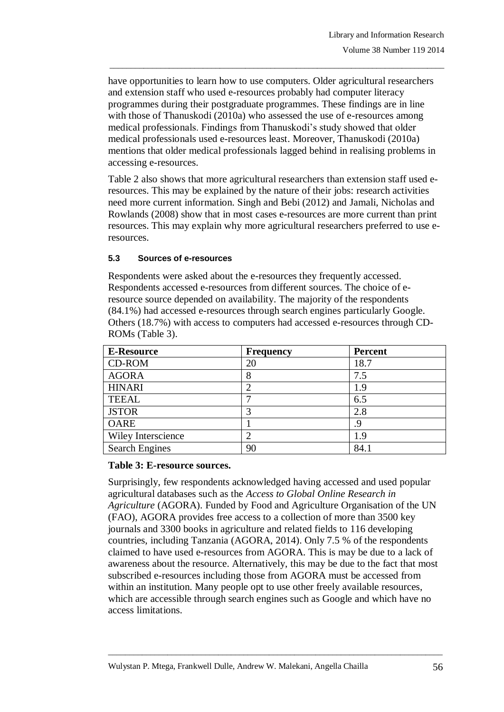have opportunities to learn how to use computers. Older agricultural researchers and extension staff who used e-resources probably had computer literacy programmes during their postgraduate programmes. These findings are in line with those of Thanuskodi (2010a) who assessed the use of e-resources among medical professionals. Findings from Thanuskodi's study showed that older medical professionals used e-resources least. Moreover, Thanuskodi (2010a) mentions that older medical professionals lagged behind in realising problems in accessing e-resources.

 $\_$  , and the set of the set of the set of the set of the set of the set of the set of the set of the set of the set of the set of the set of the set of the set of the set of the set of the set of the set of the set of th

Table 2 also shows that more agricultural researchers than extension staff used eresources. This may be explained by the nature of their jobs: research activities need more current information. Singh and Bebi (2012) and Jamali, Nicholas and Rowlands (2008) show that in most cases e-resources are more current than print resources. This may explain why more agricultural researchers preferred to use eresources.

# **5.3 Sources of e-resources**

Respondents were asked about the e-resources they frequently accessed. Respondents accessed e-resources from different sources. The choice of eresource source depended on availability. The majority of the respondents (84.1%) had accessed e-resources through search engines particularly Google. Others (18.7%) with access to computers had accessed e-resources through CD-ROMs (Table 3).

| <b>E-Resource</b>     | <b>Frequency</b> | <b>Percent</b> |
|-----------------------|------------------|----------------|
| CD-ROM                | 20               | 18.7           |
| <b>AGORA</b>          |                  | 7.5            |
| <b>HINARI</b>         |                  | 1.9            |
| <b>TEEAL</b>          |                  | 6.5            |
| <b>JSTOR</b>          |                  | 2.8            |
| <b>OARE</b>           |                  | 9              |
| Wiley Interscience    |                  | 1.9            |
| <b>Search Engines</b> | 90               | 84.1           |

#### **Table 3: E-resource sources.**

Surprisingly, few respondents acknowledged having accessed and used popular agricultural databases such as the *Access to Global Online Research in Agriculture* (AGORA). Funded by Food and Agriculture Organisation of the UN (FAO), AGORA provides free access to a collection of more than 3500 key journals and 3300 books in agriculture and related fields to 116 developing countries, including Tanzania (AGORA, 2014). Only 7.5 % of the respondents claimed to have used e-resources from AGORA. This is may be due to a lack of awareness about the resource. Alternatively, this may be due to the fact that most subscribed e-resources including those from AGORA must be accessed from within an institution. Many people opt to use other freely available resources, which are accessible through search engines such as Google and which have no access limitations.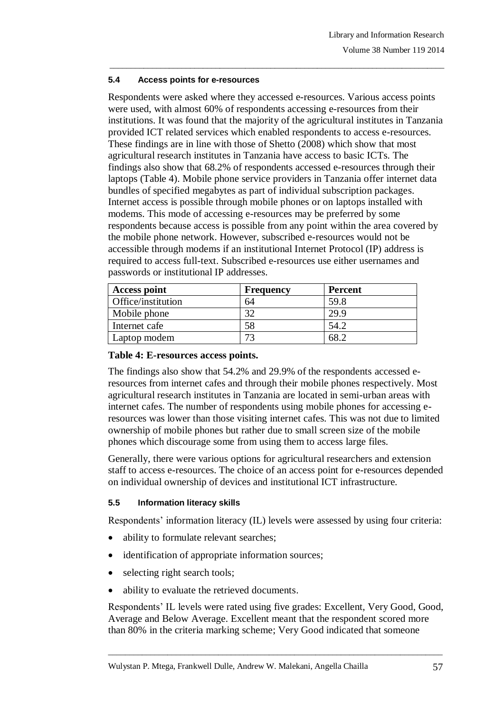### **5.4 Access points for e-resources**

Respondents were asked where they accessed e-resources. Various access points were used, with almost 60% of respondents accessing e-resources from their institutions. It was found that the majority of the agricultural institutes in Tanzania provided ICT related services which enabled respondents to access e-resources. These findings are in line with those of Shetto (2008) which show that most agricultural research institutes in Tanzania have access to basic ICTs. The findings also show that 68.2% of respondents accessed e-resources through their laptops (Table 4). Mobile phone service providers in Tanzania offer internet data bundles of specified megabytes as part of individual subscription packages. Internet access is possible through mobile phones or on laptops installed with modems. This mode of accessing e-resources may be preferred by some respondents because access is possible from any point within the area covered by the mobile phone network. However, subscribed e-resources would not be accessible through modems if an institutional Internet Protocol (IP) address is required to access full-text. Subscribed e-resources use either usernames and passwords or institutional IP addresses.

 $\_$  , and the set of the set of the set of the set of the set of the set of the set of the set of the set of the set of the set of the set of the set of the set of the set of the set of the set of the set of the set of th

| <b>Access point</b> | Frequency | <b>Percent</b> |
|---------------------|-----------|----------------|
| Office/institution  | 64        | 59.8           |
| Mobile phone        | 20        | 29.9           |
| Internet cafe       | 58        |                |
| Laptop modem        | 72        |                |

### **Table 4: E-resources access points.**

The findings also show that 54.2% and 29.9% of the respondents accessed eresources from internet cafes and through their mobile phones respectively. Most agricultural research institutes in Tanzania are located in semi-urban areas with internet cafes. The number of respondents using mobile phones for accessing eresources was lower than those visiting internet cafes. This was not due to limited ownership of mobile phones but rather due to small screen size of the mobile phones which discourage some from using them to access large files.

Generally, there were various options for agricultural researchers and extension staff to access e-resources. The choice of an access point for e-resources depended on individual ownership of devices and institutional ICT infrastructure.

# **5.5 Information literacy skills**

Respondents' information literacy (IL) levels were assessed by using four criteria:

- ability to formulate relevant searches;
- identification of appropriate information sources;
- selecting right search tools;
- ability to evaluate the retrieved documents.

Respondents' IL levels were rated using five grades: Excellent, Very Good, Good, Average and Below Average. Excellent meant that the respondent scored more than 80% in the criteria marking scheme; Very Good indicated that someone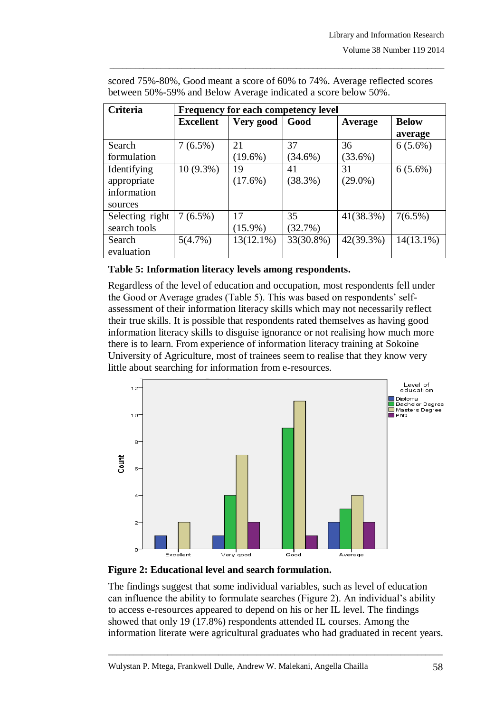| <b>Criteria</b> | <b>Frequency for each competency level</b> |              |            |            |              |
|-----------------|--------------------------------------------|--------------|------------|------------|--------------|
|                 | <b>Excellent</b>                           | Very good    | Good       | Average    | <b>Below</b> |
|                 |                                            |              |            |            | average      |
| Search          | $7(6.5\%)$                                 | 21           | 37         | 36         | $6(5.6\%)$   |
| formulation     |                                            | $(19.6\%)$   | $(34.6\%)$ | $(33.6\%)$ |              |
| Identifying     | $10(9.3\%)$                                | 19           | 41         | 31         | $6(5.6\%)$   |
| appropriate     |                                            | $(17.6\%)$   | (38.3%)    | $(29.0\%)$ |              |
| information     |                                            |              |            |            |              |
| sources         |                                            |              |            |            |              |
| Selecting right | $7(6.5\%)$                                 | 17           | 35         | 41(38.3%)  | $7(6.5\%)$   |
| search tools    |                                            | $(15.9\%)$   | (32.7%)    |            |              |
| Search          | 5(4.7%)                                    | $13(12.1\%)$ | 33(30.8%)  | 42(39.3%)  | $14(13.1\%)$ |
| evaluation      |                                            |              |            |            |              |

scored 75%-80%, Good meant a score of 60% to 74%. Average reflected scores between 50%-59% and Below Average indicated a score below 50%.

 $\_$  , and the set of the set of the set of the set of the set of the set of the set of the set of the set of the set of the set of the set of the set of the set of the set of the set of the set of the set of the set of th

### **Table 5: Information literacy levels among respondents.**

Regardless of the level of education and occupation, most respondents fell under the Good or Average grades (Table 5). This was based on respondents' selfassessment of their information literacy skills which may not necessarily reflect their true skills. It is possible that respondents rated themselves as having good information literacy skills to disguise ignorance or not realising how much more there is to learn. From experience of information literacy training at Sokoine University of Agriculture, most of trainees seem to realise that they know very little about searching for information from e-resources.





The findings suggest that some individual variables, such as level of education can influence the ability to formulate searches (Figure 2). An individual's ability to access e-resources appeared to depend on his or her IL level. The findings showed that only 19 (17.8%) respondents attended IL courses. Among the information literate were agricultural graduates who had graduated in recent years.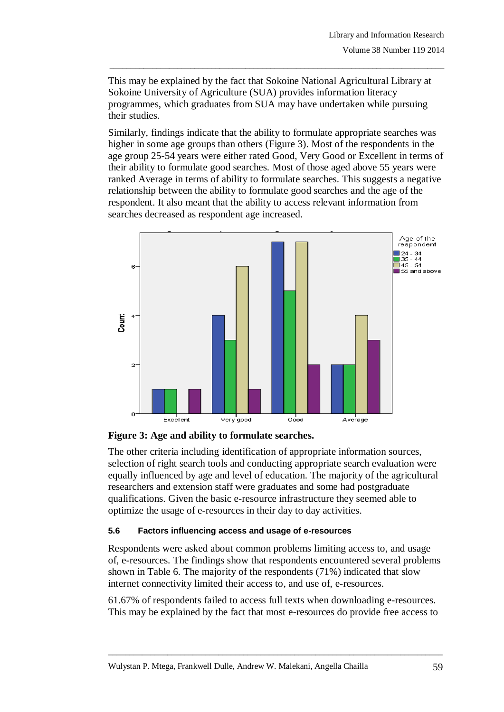This may be explained by the fact that Sokoine National Agricultural Library at Sokoine University of Agriculture (SUA) provides information literacy programmes, which graduates from SUA may have undertaken while pursuing their studies.

 $\_$  , and the set of the set of the set of the set of the set of the set of the set of the set of the set of the set of the set of the set of the set of the set of the set of the set of the set of the set of the set of th

Similarly, findings indicate that the ability to formulate appropriate searches was higher in some age groups than others (Figure 3). Most of the respondents in the age group 25-54 years were either rated Good, Very Good or Excellent in terms of their ability to formulate good searches. Most of those aged above 55 years were ranked Average in terms of ability to formulate searches. This suggests a negative relationship between the ability to formulate good searches and the age of the respondent. It also meant that the ability to access relevant information from searches decreased as respondent age increased.





The other criteria including identification of appropriate information sources, selection of right search tools and conducting appropriate search evaluation were equally influenced by age and level of education. The majority of the agricultural researchers and extension staff were graduates and some had postgraduate qualifications. Given the basic e-resource infrastructure they seemed able to optimize the usage of e-resources in their day to day activities.

# **5.6 Factors influencing access and usage of e-resources**

Respondents were asked about common problems limiting access to, and usage of, e-resources. The findings show that respondents encountered several problems shown in Table 6. The majority of the respondents (71%) indicated that slow internet connectivity limited their access to, and use of, e-resources.

61.67% of respondents failed to access full texts when downloading e-resources. This may be explained by the fact that most e-resources do provide free access to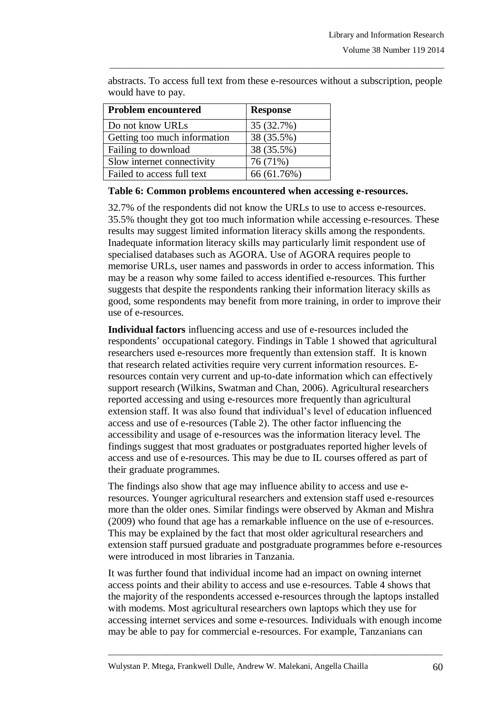| <b>Problem encountered</b>   | <b>Response</b> |
|------------------------------|-----------------|
| Do not know URLs             | 35 (32.7%)      |
| Getting too much information | 38 (35.5%)      |
| Failing to download          | 38 (35.5%)      |
| Slow internet connectivity   | 76 (71%)        |
| Failed to access full text   | 66 (61.76%)     |

abstracts. To access full text from these e-resources without a subscription, people would have to pay.

 $\_$  , and the set of the set of the set of the set of the set of the set of the set of the set of the set of the set of the set of the set of the set of the set of the set of the set of the set of the set of the set of th

# **Table 6: Common problems encountered when accessing e-resources.**

32.7% of the respondents did not know the URLs to use to access e-resources. 35.5% thought they got too much information while accessing e-resources. These results may suggest limited information literacy skills among the respondents. Inadequate information literacy skills may particularly limit respondent use of specialised databases such as AGORA. Use of AGORA requires people to memorise URLs, user names and passwords in order to access information. This may be a reason why some failed to access identified e-resources. This further suggests that despite the respondents ranking their information literacy skills as good, some respondents may benefit from more training, in order to improve their use of e-resources.

**Individual factors** influencing access and use of e-resources included the respondents' occupational category. Findings in Table 1 showed that agricultural researchers used e-resources more frequently than extension staff. It is known that research related activities require very current information resources. Eresources contain very current and up-to-date information which can effectively support research (Wilkins, Swatman and Chan, 2006). Agricultural researchers reported accessing and using e-resources more frequently than agricultural extension staff. It was also found that individual's level of education influenced access and use of e-resources (Table 2). The other factor influencing the accessibility and usage of e-resources was the information literacy level. The findings suggest that most graduates or postgraduates reported higher levels of access and use of e-resources. This may be due to IL courses offered as part of their graduate programmes.

The findings also show that age may influence ability to access and use eresources. Younger agricultural researchers and extension staff used e-resources more than the older ones. Similar findings were observed by Akman and Mishra (2009) who found that age has a remarkable influence on the use of e-resources. This may be explained by the fact that most older agricultural researchers and extension staff pursued graduate and postgraduate programmes before e-resources were introduced in most libraries in Tanzania.

It was further found that individual income had an impact on owning internet access points and their ability to access and use e-resources. Table 4 shows that the majority of the respondents accessed e-resources through the laptops installed with modems. Most agricultural researchers own laptops which they use for accessing internet services and some e-resources. Individuals with enough income may be able to pay for commercial e-resources. For example, Tanzanians can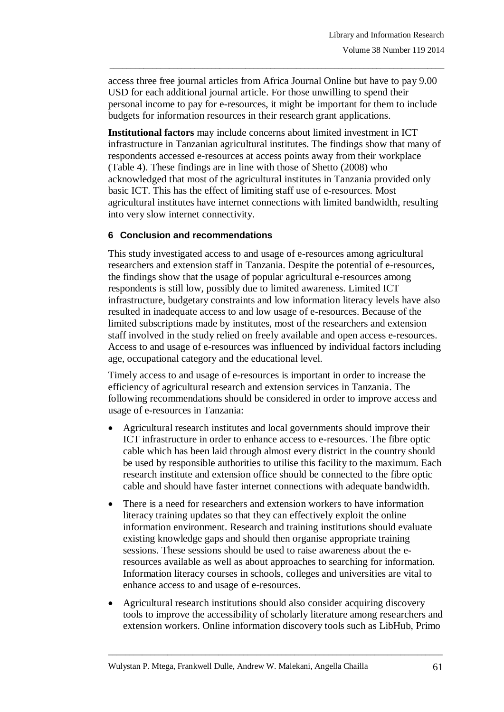access three free journal articles from Africa Journal Online but have to pay 9.00 USD for each additional journal article. For those unwilling to spend their personal income to pay for e-resources, it might be important for them to include budgets for information resources in their research grant applications.

 $\_$  , and the set of the set of the set of the set of the set of the set of the set of the set of the set of the set of the set of the set of the set of the set of the set of the set of the set of the set of the set of th

**Institutional factors** may include concerns about limited investment in ICT infrastructure in Tanzanian agricultural institutes. The findings show that many of respondents accessed e-resources at access points away from their workplace (Table 4). These findings are in line with those of Shetto (2008) who acknowledged that most of the agricultural institutes in Tanzania provided only basic ICT. This has the effect of limiting staff use of e-resources. Most agricultural institutes have internet connections with limited bandwidth, resulting into very slow internet connectivity.

# **6 Conclusion and recommendations**

This study investigated access to and usage of e-resources among agricultural researchers and extension staff in Tanzania. Despite the potential of e-resources, the findings show that the usage of popular agricultural e-resources among respondents is still low, possibly due to limited awareness. Limited ICT infrastructure, budgetary constraints and low information literacy levels have also resulted in inadequate access to and low usage of e-resources. Because of the limited subscriptions made by institutes, most of the researchers and extension staff involved in the study relied on freely available and open access e-resources. Access to and usage of e-resources was influenced by individual factors including age, occupational category and the educational level.

Timely access to and usage of e-resources is important in order to increase the efficiency of agricultural research and extension services in Tanzania. The following recommendations should be considered in order to improve access and usage of e-resources in Tanzania:

- Agricultural research institutes and local governments should improve their ICT infrastructure in order to enhance access to e-resources. The fibre optic cable which has been laid through almost every district in the country should be used by responsible authorities to utilise this facility to the maximum. Each research institute and extension office should be connected to the fibre optic cable and should have faster internet connections with adequate bandwidth.
- There is a need for researchers and extension workers to have information literacy training updates so that they can effectively exploit the online information environment. Research and training institutions should evaluate existing knowledge gaps and should then organise appropriate training sessions. These sessions should be used to raise awareness about the eresources available as well as about approaches to searching for information. Information literacy courses in schools, colleges and universities are vital to enhance access to and usage of e-resources.
- Agricultural research institutions should also consider acquiring discovery tools to improve the accessibility of scholarly literature among researchers and extension workers. Online information discovery tools such as LibHub, Primo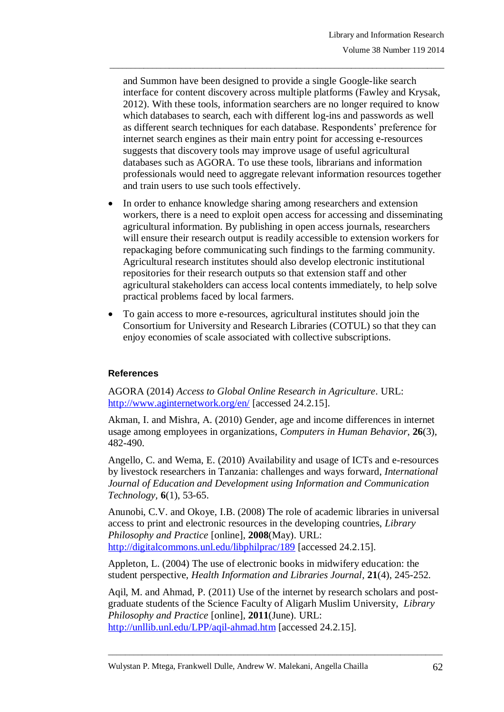and Summon have been designed to provide a single Google-like search interface for content discovery across multiple platforms (Fawley and Krysak, 2012). With these tools, information searchers are no longer required to know which databases to search, each with different log-ins and passwords as well as different search techniques for each database. Respondents' preference for internet search engines as their main entry point for accessing e-resources suggests that discovery tools may improve usage of useful agricultural databases such as AGORA. To use these tools, librarians and information professionals would need to aggregate relevant information resources together and train users to use such tools effectively.

 $\_$  , and the set of the set of the set of the set of the set of the set of the set of the set of the set of the set of the set of the set of the set of the set of the set of the set of the set of the set of the set of th

- In order to enhance knowledge sharing among researchers and extension workers, there is a need to exploit open access for accessing and disseminating agricultural information. By publishing in open access journals, researchers will ensure their research output is readily accessible to extension workers for repackaging before communicating such findings to the farming community. Agricultural research institutes should also develop electronic institutional repositories for their research outputs so that extension staff and other agricultural stakeholders can access local contents immediately, to help solve practical problems faced by local farmers.
- To gain access to more e-resources, agricultural institutes should join the Consortium for University and Research Libraries (COTUL) so that they can enjoy economies of scale associated with collective subscriptions.

# **References**

AGORA (2014) *Access to Global Online Research in Agriculture*. URL: <http://www.aginternetwork.org/en/> [accessed 24.2.15].

Akman, I. and Mishra, A. (2010) Gender, age and income differences in internet usage among employees in organizations, *Computers in Human Behavior*, **26**(3), 482-490.

Angello, C. and Wema, E. (2010) Availability and usage of ICTs and e-resources by livestock researchers in Tanzania: challenges and ways forward, *International Journal of Education and Development using Information and Communication Technology,* **6**(1), 53-65.

Anunobi, C.V. and Okoye, I.B. (2008) The role of academic libraries in universal access to print and electronic resources in the developing countries, *Library Philosophy and Practice* [online], **2008**(May). URL: <http://digitalcommons.unl.edu/libphilprac/189> [accessed 24.2.15].

Appleton, L. (2004) The use of electronic books in midwifery education: the student perspective, *Health Information and Libraries Journal*, **21**(4), 245-252.

Aqil, M. and Ahmad, P. (2011) Use of the internet by research scholars and postgraduate students of the Science Faculty of Aligarh Muslim University, *Library Philosophy and Practice* [online], **2011**(June). URL: <http://unllib.unl.edu/LPP/aqil-ahmad.htm> [accessed 24.2.15].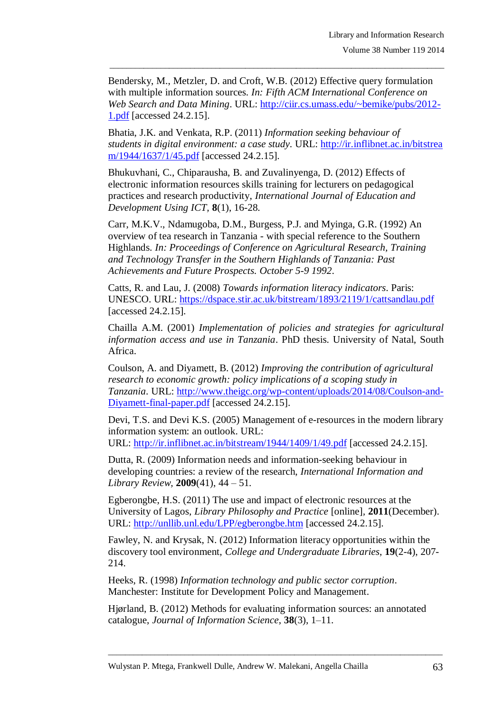Bendersky, M., Metzler, D. and Croft, W.B. (2012) Effective query formulation with multiple information sources. *In: Fifth ACM International Conference on Web Search and Data Mining*. URL: [http://ciir.cs.umass.edu/~bemike/pubs/2012-](http://ciir.cs.umass.edu/~bemike/pubs/2012-1.pdf) [1.pdf](http://ciir.cs.umass.edu/~bemike/pubs/2012-1.pdf) [accessed 24.2.15].

 $\_$  , and the set of the set of the set of the set of the set of the set of the set of the set of the set of the set of the set of the set of the set of the set of the set of the set of the set of the set of the set of th

Bhatia, J.K. and Venkata, R.P. (2011) *Information seeking behaviour of students in digital environment: a case study*. URL: [http://ir.inflibnet.ac.in/bitstrea](http://ir.inflibnet.ac.in/bitstream/1944/1637/1/45.pdf) [m/1944/1637/1/45.pdf](http://ir.inflibnet.ac.in/bitstream/1944/1637/1/45.pdf) [accessed 24.2.15].

Bhukuvhani, C., Chiparausha, B. and Zuvalinyenga, D. (2012) Effects of electronic information resources skills training for lecturers on pedagogical practices and research productivity, *International Journal of Education and Development Using ICT,* **8**(1), 16-28.

Carr, M.K.V., Ndamugoba, D.M., Burgess, P.J. and Myinga, G.R. (1992) An overview of tea research in Tanzania - with special reference to the Southern Highlands. *In: Proceedings of Conference on Agricultural Research, Training and Technology Transfer in the Southern Highlands of Tanzania: Past Achievements and Future Prospects. October 5-9 1992*.

Catts, R. and Lau, J. (2008) *Towards information literacy indicators*. Paris: UNESCO. URL:<https://dspace.stir.ac.uk/bitstream/1893/2119/1/cattsandlau.pdf> [accessed 24.2.15].

Chailla A.M. (2001) *Implementation of policies and strategies for agricultural information access and use in Tanzania*. PhD thesis. University of Natal, South Africa.

Coulson, A. and Diyamett, B. (2012) *Improving the contribution of agricultural research to economic growth: policy implications of a scoping study in Tanzania*. URL: [http://www.theigc.org/wp-content/uploads/2014/08/Coulson-and-](http://www.theigc.org/wp-content/uploads/2014/08/Coulson-and-Diyamett-final-paper.pdf)[Diyamett-final-paper.pdf](http://www.theigc.org/wp-content/uploads/2014/08/Coulson-and-Diyamett-final-paper.pdf) [accessed 24.2.15].

Devi, T.S. and Devi K.S. (2005) Management of e-resources in the modern library information system: an outlook. URL:

URL: <http://ir.inflibnet.ac.in/bitstream/1944/1409/1/49.pdf> [accessed 24.2.15].

Dutta, R. (2009) Information needs and information-seeking behaviour in developing countries: a review of the research, *International Information and Library Review,* **2009**(41), 44 – 51.

Egberongbe, H.S. (2011) The use and impact of electronic resources at the University of Lagos, *Library Philosophy and Practice* [online]*,* **2011**(December). URL:<http://unllib.unl.edu/LPP/egberongbe.htm> [accessed 24.2.15].

Fawley, N. and Krysak, N. (2012) Information literacy opportunities within the discovery tool environment, *College and Undergraduate Libraries*, **19**(2-4), 207- 214.

Heeks, R. (1998) *Information technology and public sector corruption*. Manchester: Institute for Development Policy and Management.

Hjørland, B. (2012) Methods for evaluating information sources: an annotated catalogue, *Journal of Information Science*, **38**(3), 1–11.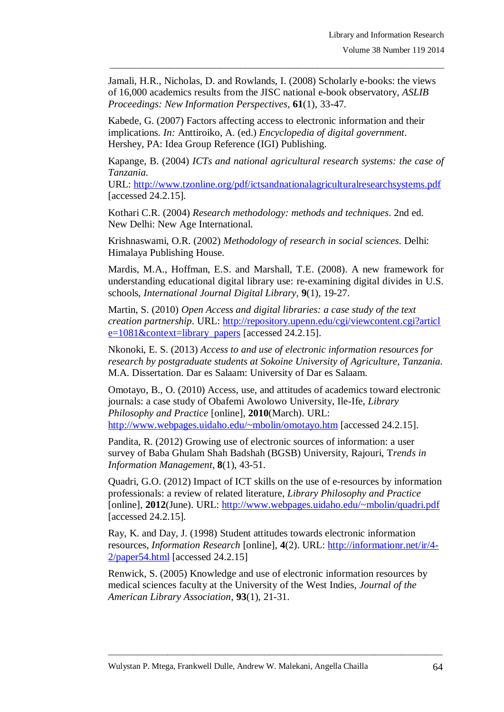Jamali, H.R., Nicholas, D. and Rowlands, I. (2008) Scholarly e-books: the views of 16,000 academics results from the JISC national e-book observatory, *ASLIB Proceedings: New Information Perspectives*, **61**(1), 33-47.

 $\_$  , and the set of the set of the set of the set of the set of the set of the set of the set of the set of the set of the set of the set of the set of the set of the set of the set of the set of the set of the set of th

Kabede, G. (2007) Factors affecting access to electronic information and their implications. *In:* Anttiroiko, A. (ed.) *Encyclopedia of digital government*. Hershey, PA: Idea Group Reference (IGI) Publishing.

Kapange, B. (2004) *ICTs and national agricultural research systems: the case of Tanzania.*

URL: <http://www.tzonline.org/pdf/ictsandnationalagriculturalresearchsystems.pdf> [accessed 24.2.15].

Kothari C.R. (2004) *Research methodology: methods and techniques*. 2nd ed. New Delhi: New Age International.

Krishnaswami, O.R. (2002) *Methodology of research in social sciences*. Delhi: Himalaya Publishing House.

Mardis, M.A., Hoffman, E.S. and Marshall, T.E. (2008). A new framework for understanding educational digital library use: re-examining digital divides in U.S. schools, *International Journal Digital Library,* **9**(1), 19-27.

Martin, S. (2010) *Open Access and digital libraries: a case study of the text creation partnership*. URL: [http://repository.upenn.edu/cgi/viewcontent.cgi?articl](http://repository.upenn.edu/cgi/viewcontent.cgi?article=1081&context=library_papers)  $e=1081\&\text{context}=library$  papers [accessed 24.2.15].

Nkonoki, E. S. (2013) *Access to and use of electronic information resources for research by postgraduate students at Sokoine University of Agriculture, Tanzania.* M.A. Dissertation. Dar es Salaam: University of Dar es Salaam.

Omotayo, B., O. (2010) Access, use, and attitudes of academics toward electronic journals: a case study of Obafemi Awolowo University, Ile-Ife, *Library Philosophy and Practice* [online], **2010**(March). URL: <http://www.webpages.uidaho.edu/~mbolin/omotayo.htm> [accessed 24.2.15].

Pandita, R. (2012) Growing use of electronic sources of information: a user survey of Baba Ghulam Shah Badshah (BGSB) University, Rajouri, T*rends in Information Management*, **8**(1), 43-51.

Quadri, G.O. (2012) Impact of ICT skills on the use of e-resources by information professionals: a review of related literature, *Library Philosophy and Practice* [online], **2012**(June). URL: <http://www.webpages.uidaho.edu/~mbolin/quadri.pdf> [accessed 24.2.15].

Ray, K. and Day, J. (1998) Student attitudes towards electronic information resources, *Information Research* [online], **4**(2). URL: [http://informationr.net/ir/4-](http://informationr.net/ir/4-2/paper54.html) [2/paper54.html](http://informationr.net/ir/4-2/paper54.html) [accessed 24.2.15]

Renwick, S. (2005) Knowledge and use of electronic information resources by medical sciences faculty at the University of the West Indies, *Journal of the American Library Association*, **93**(1), 21-31.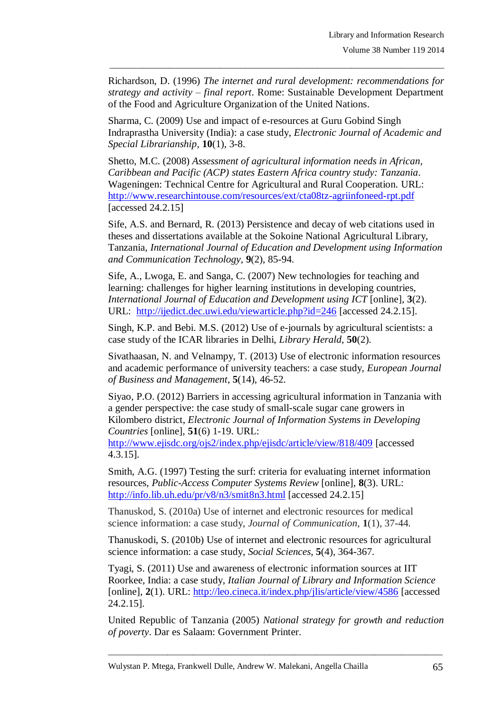Richardson, D. (1996) *The internet and rural development: recommendations for strategy and activity – final report*. Rome: Sustainable Development Department of the Food and Agriculture Organization of the United Nations.

 $\_$  , and the set of the set of the set of the set of the set of the set of the set of the set of the set of the set of the set of the set of the set of the set of the set of the set of the set of the set of the set of th

Sharma, C. (2009) Use and impact of e-resources at Guru Gobind Singh Indraprastha University (India): a case study, *Electronic Journal of Academic and Special Librarianship,* **10**(1), 3-8.

Shetto, M.C. (2008) *Assessment of agricultural information needs in African, Caribbean and Pacific (ACP) states Eastern Africa country study: Tanzania*. Wageningen: Technical Centre for Agricultural and Rural Cooperation. URL: <http://www.researchintouse.com/resources/ext/cta08tz-agriinfoneed-rpt.pdf> [accessed 24.2.15]

Sife, A.S. and Bernard, R. (2013) Persistence and decay of web citations used in theses and dissertations available at the Sokoine National Agricultural Library, Tanzania, *International Journal of Education and Development using Information and Communication Technology,* **9**(2), 85-94.

Sife, A., Lwoga, E. and Sanga, C. (2007) New technologies for teaching and learning: challenges for higher learning institutions in developing countries, *International Journal of Education and Development using ICT* [online], **3**(2). URL: <http://ijedict.dec.uwi.edu/viewarticle.php?id=246> [accessed 24.2.15].

Singh, K.P. and Bebi. M.S. (2012) Use of e-journals by agricultural scientists: a case study of the ICAR libraries in Delhi, *Library Herald,* **50**(2).

Sivathaasan, N. and Velnampy, T. (2013) Use of electronic information resources and academic performance of university teachers: a case study, *European Journal of Business and Management*, **5**(14), 46-52.

Siyao, P.O. (2012) Barriers in accessing agricultural information in Tanzania with a gender perspective: the case study of small-scale sugar cane growers in Kilombero district, *Electronic Journal of Information Systems in Developing Countries* [online], **51**(6) 1-19. URL:

<http://www.ejisdc.org/ojs2/index.php/ejisdc/article/view/818/409> [accessed 4.3.15].

Smith, A.G. (1997) Testing the surf: criteria for evaluating internet information resources, *Public-Access Computer Systems Review* [online], **8**(3). URL: <http://info.lib.uh.edu/pr/v8/n3/smit8n3.html> [accessed 24.2.15]

Thanuskod, S. (2010a) Use of internet and electronic resources for medical science information: a case study, *Journal of Communication*, **1**(1), 37-44.

Thanuskodi, S. (2010b) Use of internet and electronic resources for agricultural science information: a case study, *Social Sciences*, **5**(4), 364-367.

Tyagi, S. (2011) Use and awareness of electronic information sources at IIT Roorkee, India: a case study, *Italian Journal of Library and Information Science* [online], 2(1). URL:<http://leo.cineca.it/index.php/jlis/article/view/4586> [accessed] 24.2.15].

United Republic of Tanzania (2005) *National strategy for growth and reduction of poverty*. Dar es Salaam: Government Printer.